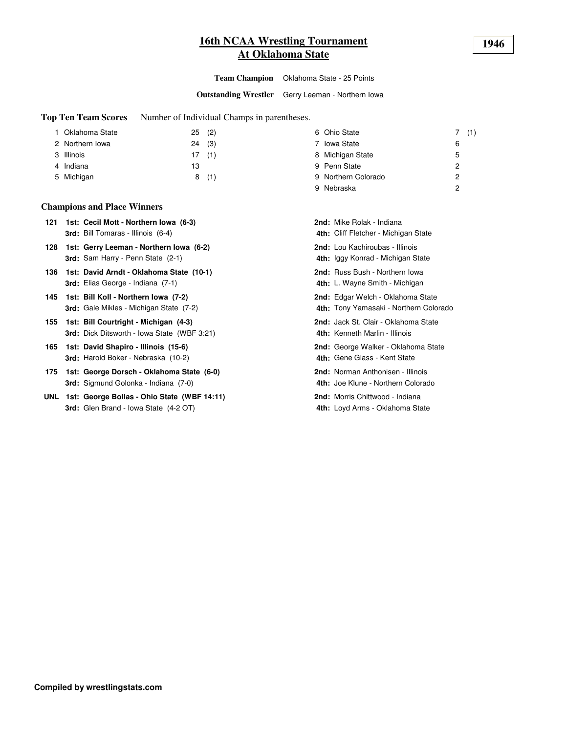### **16th NCAA Wrestling Tournament 1946 At Oklahoma State**

**Team Champion** Oklahoma State - 25 Points

**Outstanding Wrestler** Gerry Leeman - Northern Iowa

**Top Ten Team Scores** Number of Individual Champs in parentheses.

| 1 Oklahoma State | (2)<br>25 | 6 Ohio State        | 7(1) |
|------------------|-----------|---------------------|------|
| 2 Northern Iowa  | (3)<br>24 | 7 Iowa State        | 6    |
| 3 Illinois       | (1)<br>17 | 8 Michigan State    | 5    |
| 4 Indiana        | 13        | 9 Penn State        | 2    |
| 5 Michigan       | 8(1)      | 9 Northern Colorado | 2    |
|                  |           | Nebraska<br>9       | 0    |

#### **Champions and Place Winners**

- **121 Cecil Mott - Northern Iowa (6-3)** Mike Rolak Indiana **1st: 2nd: 3rd:** Bill Tomaras - Illinois (6-4) **4**
- **128 1st: Gerry Leeman Northern Iowa (6-2) <b>Lou Commence 2nd:** Lou Kachiroubas Illinois **3rd:** Sam Harry - Penn State (2-1) **4**
- **136 David Arndt - Oklahoma State (10-1)** Russ Bush Northern Iowa **1st: 2nd: 3rd:** Elias George - Indiana (7-1) **4**
- **145 Bill Koll - Northern Iowa (7-2)** Edgar Welch Oklahoma State **1st: 2nd: 3rd:** Gale Mikles - Michigan State (7-2) **4**
- **155 1st: Bill Courtright Michigan (4-3)** Jack St. Clair Oklahoma State **3rd:** Dick Ditsworth - Iowa State (WBF 3:21) **4**
- **165 1st: David Shapiro Illinois (15-6)** George Walker Oklahoma State **3rd:** Harold Boker - Nebraska (10-2) **4**
- **175 1st: George Dorsch Oklahoma State (6-0) 1898 1988 2nd:** Norman Anthonisen Illinois **3rd:** Sigmund Golonka - Indiana (7-0) **4**
- **UNL 1st: George Bollas Ohio State (WBF 14:11) Morris Chittwood Indiana 3rd:** Glen Brand - Iowa State (4-2 OT) **4**

| <b>nd:</b> Mike Rolak - Indiana<br><b>Ith:</b> Cliff Fletcher - Michigan State    |
|-----------------------------------------------------------------------------------|
| nd: Lou Kachiroubas - Illinois<br><b>Ith:</b> Iggy Konrad - Michigan State        |
| nd: Russ Bush - Northern Iowa<br><b>Ith:</b> L. Wayne Smith - Michigan            |
| nd: Edgar Welch - Oklahoma State<br><b>Ith:</b> Tony Yamasaki - Northern Colorado |
| nd: Jack St. Clair - Oklahoma State<br>Ith: Kenneth Marlin - Illinois             |
| nd: George Walker - Oklahoma State<br>Ith: Gene Glass - Kent State                |
| nd: Norman Anthonisen - Illinois<br>Ith: Joe Klune - Northern Colorado            |
| nd: Morris Chittwood - Indiana<br>Ith: Loyd Arms - Oklahoma State                 |
|                                                                                   |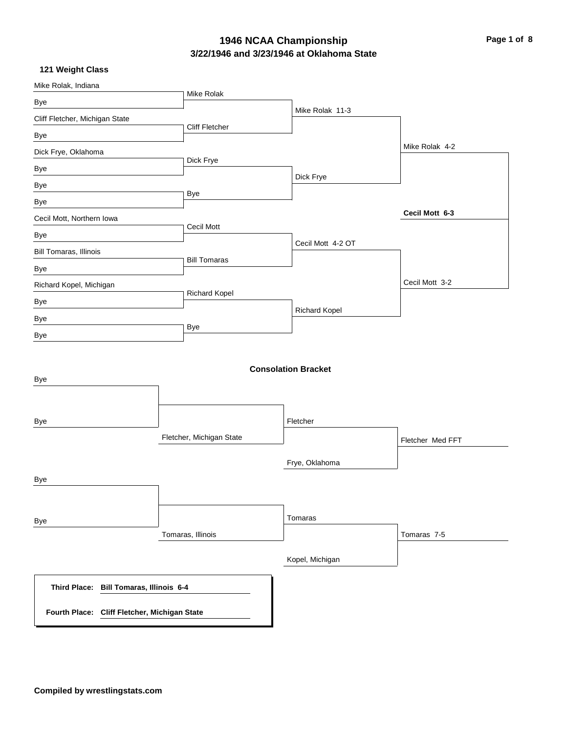# **3/22/1946 and 3/23/1946 at Oklahoma State** 1946 NCAA Championship<br> **Page 1 of 8**

| Mike Rolak, Indiana                          |                          |                            |                  |
|----------------------------------------------|--------------------------|----------------------------|------------------|
| Bye                                          | Mike Rolak               |                            |                  |
| Cliff Fletcher, Michigan State               |                          | Mike Rolak 11-3            |                  |
| Bye                                          | Cliff Fletcher           |                            |                  |
| Dick Frye, Oklahoma                          |                          |                            | Mike Rolak 4-2   |
| Bye                                          | Dick Frye                |                            |                  |
| Bye                                          |                          | Dick Frye                  |                  |
| Bye                                          | Bye                      |                            |                  |
| Cecil Mott, Northern Iowa                    |                          |                            | Cecil Mott 6-3   |
| Bye                                          | Cecil Mott               |                            |                  |
| Bill Tomaras, Illinois                       |                          | Cecil Mott 4-2 OT          |                  |
| Bye                                          | <b>Bill Tomaras</b>      |                            |                  |
| Richard Kopel, Michigan                      |                          |                            | Cecil Mott 3-2   |
| Bye                                          | <b>Richard Kopel</b>     |                            |                  |
| Bye                                          |                          | <b>Richard Kopel</b>       |                  |
| Bye                                          | <b>Bye</b>               |                            |                  |
| Bye                                          |                          | <b>Consolation Bracket</b> |                  |
| Bye                                          |                          | Fletcher                   |                  |
|                                              | Fletcher, Michigan State |                            | Fletcher Med FFT |
|                                              |                          | Frye, Oklahoma             |                  |
| Bye                                          |                          |                            |                  |
| Bye                                          |                          | Tomaras                    |                  |
|                                              | Tomaras, Illinois        |                            | Tomaras 7-5      |
|                                              |                          | Kopel, Michigan            |                  |
| Third Place: Bill Tomaras, Illinois 6-4      |                          |                            |                  |
| Fourth Place: Cliff Fletcher, Michigan State |                          |                            |                  |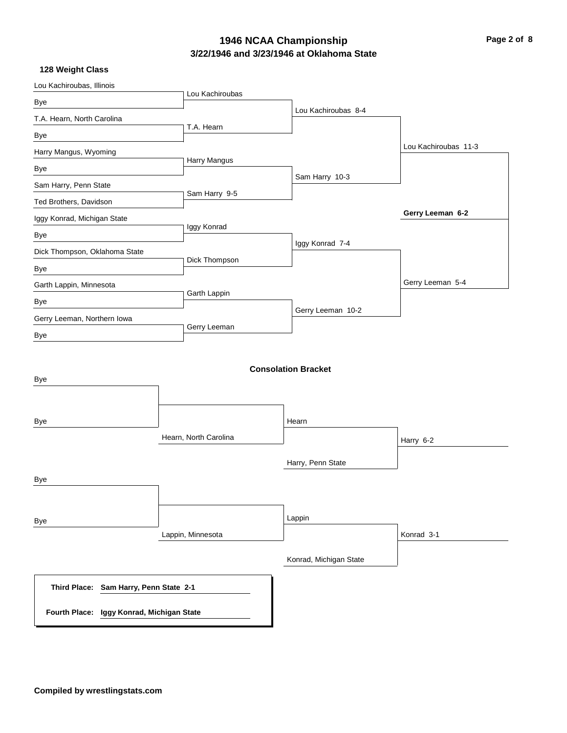# **3/22/1946 and 3/23/1946 at Oklahoma State 1946 NCAA Championship Page 2 of 8**

| Lou Kachiroubas, Illinois                                                           |                       |                            |                      |
|-------------------------------------------------------------------------------------|-----------------------|----------------------------|----------------------|
| Bye                                                                                 | Lou Kachiroubas       |                            |                      |
| T.A. Hearn, North Carolina                                                          |                       | Lou Kachiroubas 8-4        |                      |
| Bye                                                                                 | T.A. Hearn            |                            |                      |
| Harry Mangus, Wyoming                                                               |                       |                            | Lou Kachiroubas 11-3 |
| Bye                                                                                 | Harry Mangus          |                            |                      |
| Sam Harry, Penn State                                                               |                       | Sam Harry 10-3             |                      |
| Ted Brothers, Davidson                                                              | Sam Harry 9-5         |                            |                      |
| Iggy Konrad, Michigan State                                                         |                       |                            | Gerry Leeman 6-2     |
| Bye                                                                                 | Iggy Konrad           |                            |                      |
| Dick Thompson, Oklahoma State                                                       |                       | Iggy Konrad 7-4            |                      |
| Bye                                                                                 | Dick Thompson         |                            |                      |
| Garth Lappin, Minnesota                                                             |                       |                            | Gerry Leeman 5-4     |
| Bye                                                                                 | Garth Lappin          |                            |                      |
| Gerry Leeman, Northern Iowa                                                         |                       | Gerry Leeman 10-2          |                      |
| Bye                                                                                 | Gerry Leeman          |                            |                      |
| Bye                                                                                 |                       | <b>Consolation Bracket</b> |                      |
| Bye                                                                                 |                       | Hearn                      |                      |
|                                                                                     | Hearn, North Carolina |                            | Harry 6-2            |
|                                                                                     |                       | Harry, Penn State          |                      |
| Bye                                                                                 |                       |                            |                      |
| Bye                                                                                 |                       | Lappin                     |                      |
|                                                                                     | Lappin, Minnesota     |                            | Konrad 3-1           |
|                                                                                     |                       | Konrad, Michigan State     |                      |
| Third Place: Sam Harry, Penn State 2-1<br>Fourth Place: Iggy Konrad, Michigan State |                       |                            |                      |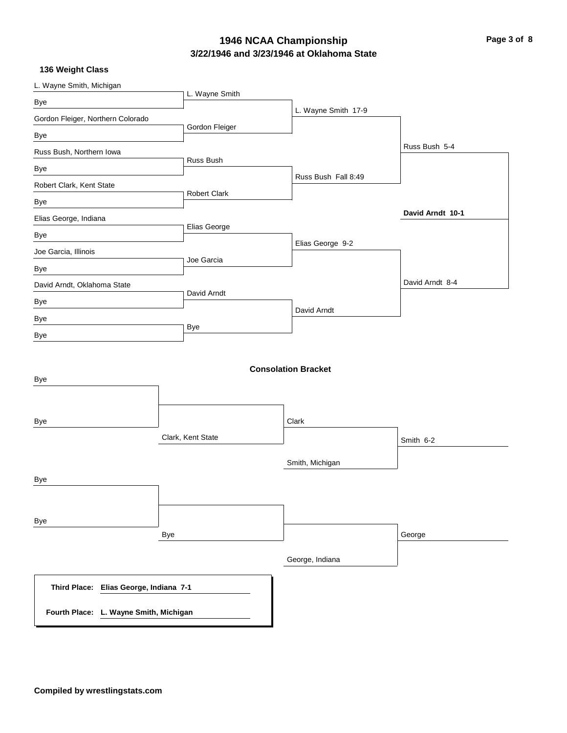# **3/22/1946 and 3/23/1946 at Oklahoma State 1946 NCAA Championship Page 3 of 8**

| L. Wayne Smith, Michigan               |                     |                            |                  |
|----------------------------------------|---------------------|----------------------------|------------------|
| Bye                                    | L. Wayne Smith      |                            |                  |
| Gordon Fleiger, Northern Colorado      |                     | L. Wayne Smith 17-9        |                  |
| Bye                                    | Gordon Fleiger      |                            |                  |
| Russ Bush, Northern Iowa               |                     |                            | Russ Bush 5-4    |
| Bye                                    | Russ Bush           |                            |                  |
| Robert Clark, Kent State               |                     | Russ Bush Fall 8:49        |                  |
| Bye                                    | <b>Robert Clark</b> |                            |                  |
| Elias George, Indiana                  |                     |                            | David Arndt 10-1 |
| Bye                                    | Elias George        |                            |                  |
| Joe Garcia, Illinois                   |                     | Elias George 9-2           |                  |
| Bye                                    | Joe Garcia          |                            |                  |
| David Arndt, Oklahoma State            |                     |                            | David Arndt 8-4  |
| Bye                                    | David Arndt         |                            |                  |
| Bye                                    |                     | David Arndt                |                  |
| Bye                                    | Bye                 |                            |                  |
| Bye                                    |                     | <b>Consolation Bracket</b> |                  |
| Bye                                    |                     | Clark                      |                  |
|                                        | Clark, Kent State   |                            | Smith 6-2        |
|                                        |                     | Smith, Michigan            |                  |
| Bye                                    |                     |                            |                  |
| Bye                                    |                     |                            |                  |
|                                        | Bye                 |                            | George           |
|                                        |                     | George, Indiana            |                  |
| Third Place: Elias George, Indiana 7-1 |                     |                            |                  |
| Fourth Place: L. Wayne Smith, Michigan |                     |                            |                  |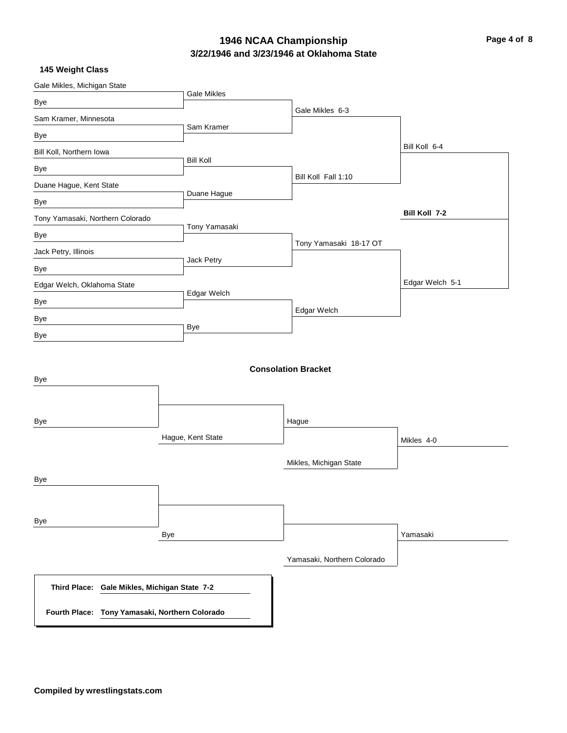# **3/22/1946 and 3/23/1946 at Oklahoma State 1946 NCAA Championship Page 4 of 8**

| Gale Mikles, Michigan State                    |                    |                             |                 |
|------------------------------------------------|--------------------|-----------------------------|-----------------|
| Bye                                            | <b>Gale Mikles</b> |                             |                 |
| Sam Kramer, Minnesota                          |                    | Gale Mikles 6-3             |                 |
| Bye                                            | Sam Kramer         |                             |                 |
| Bill Koll, Northern Iowa                       |                    |                             | Bill Koll 6-4   |
| Bye                                            | <b>Bill Koll</b>   |                             |                 |
| Duane Hague, Kent State                        |                    | Bill Koll Fall 1:10         |                 |
| Bye                                            | Duane Hague        |                             |                 |
| Tony Yamasaki, Northern Colorado               |                    |                             | Bill Koll 7-2   |
| Bye                                            | Tony Yamasaki      |                             |                 |
| Jack Petry, Illinois                           |                    | Tony Yamasaki 18-17 OT      |                 |
| Bye                                            | Jack Petry         |                             |                 |
| Edgar Welch, Oklahoma State                    |                    |                             | Edgar Welch 5-1 |
| Bye                                            | Edgar Welch        |                             |                 |
| Bye                                            |                    | Edgar Welch                 |                 |
| Bye                                            | <b>Bye</b>         |                             |                 |
| Bye                                            |                    | <b>Consolation Bracket</b>  |                 |
| Bye                                            |                    | Hague                       |                 |
|                                                | Hague, Kent State  |                             | Mikles 4-0      |
|                                                |                    | Mikles, Michigan State      |                 |
| Bye                                            |                    |                             |                 |
| Bye                                            |                    |                             |                 |
|                                                | Bye                |                             | Yamasaki        |
|                                                |                    | Yamasaki, Northern Colorado |                 |
| Third Place: Gale Mikles, Michigan State 7-2   |                    |                             |                 |
| Fourth Place: Tony Yamasaki, Northern Colorado |                    |                             |                 |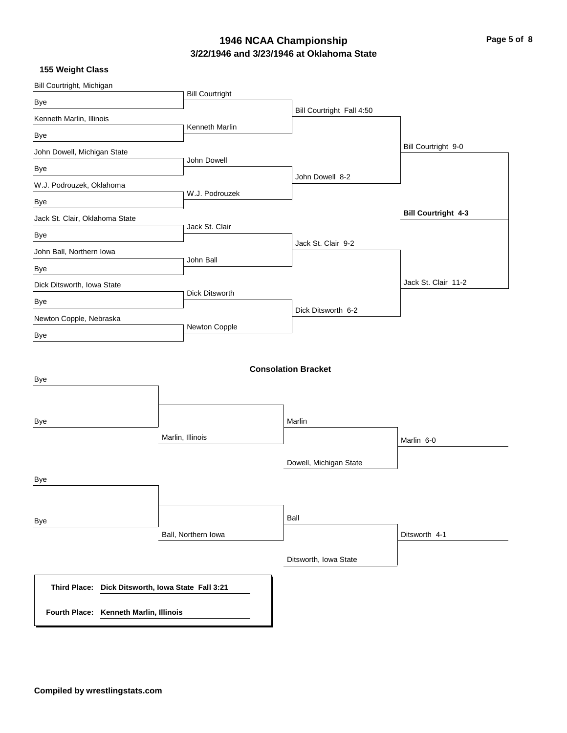# **3/22/1946 and 3/23/1946 at Oklahoma State 1946 NCAA Championship Page 5 of 8**

| Bill Courtright, Michigan                         |                        |                            |                            |
|---------------------------------------------------|------------------------|----------------------------|----------------------------|
| Bye                                               | <b>Bill Courtright</b> |                            |                            |
| Kenneth Marlin, Illinois                          |                        | Bill Courtright Fall 4:50  |                            |
| Bye                                               | Kenneth Marlin         |                            |                            |
| John Dowell, Michigan State                       |                        |                            | Bill Courtright 9-0        |
| Bye                                               | John Dowell            |                            |                            |
| W.J. Podrouzek, Oklahoma                          |                        | John Dowell 8-2            |                            |
| Bye                                               | W.J. Podrouzek         |                            |                            |
| Jack St. Clair, Oklahoma State                    |                        |                            | <b>Bill Courtright 4-3</b> |
| Bye                                               | Jack St. Clair         |                            |                            |
| John Ball, Northern Iowa                          |                        | Jack St. Clair 9-2         |                            |
| Bye                                               | John Ball              |                            |                            |
| Dick Ditsworth, Iowa State                        |                        |                            | Jack St. Clair 11-2        |
| Bye                                               | Dick Ditsworth         |                            |                            |
| Newton Copple, Nebraska                           |                        | Dick Ditsworth 6-2         |                            |
| Bye                                               | Newton Copple          |                            |                            |
| Bye                                               |                        | <b>Consolation Bracket</b> |                            |
| Bye                                               |                        | Marlin                     |                            |
|                                                   | Marlin, Illinois       |                            | Marlin 6-0                 |
| Bye                                               |                        | Dowell, Michigan State     |                            |
|                                                   |                        |                            |                            |
| Bye                                               |                        | Ball                       |                            |
|                                                   | Ball, Northern Iowa    |                            | Ditsworth 4-1              |
|                                                   |                        | Ditsworth, Iowa State      |                            |
| Third Place: Dick Ditsworth, Iowa State Fall 3:21 |                        |                            |                            |
| Fourth Place: Kenneth Marlin, Illinois            |                        |                            |                            |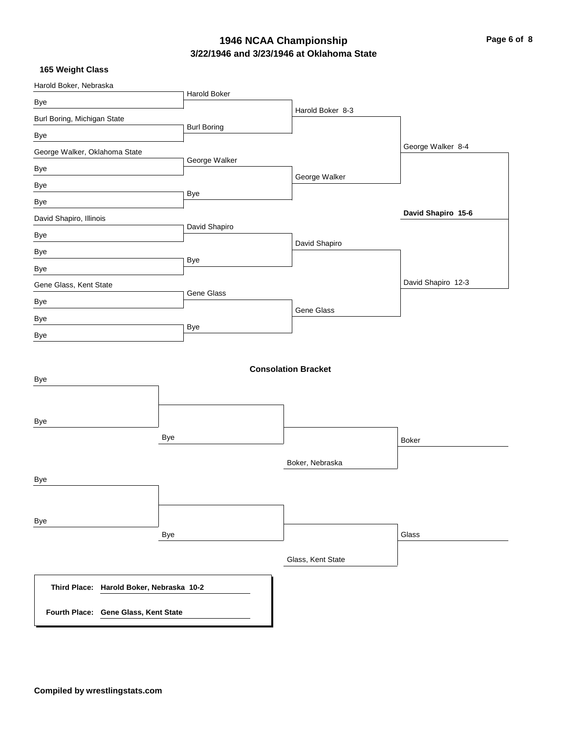# **3/22/1946 and 3/23/1946 at Oklahoma State 1946 NCAA Championship Page 6 of 8**

| Harold Boker, Nebraska                   |                    |                            |                    |
|------------------------------------------|--------------------|----------------------------|--------------------|
| Bye                                      | Harold Boker       |                            |                    |
| Burl Boring, Michigan State              |                    | Harold Boker 8-3           |                    |
| Bye                                      | <b>Burl Boring</b> |                            |                    |
| George Walker, Oklahoma State            |                    |                            | George Walker 8-4  |
| Bye                                      | George Walker      |                            |                    |
| Bye                                      |                    | George Walker              |                    |
| Bye                                      | Bye                |                            |                    |
| David Shapiro, Illinois                  |                    |                            | David Shapiro 15-6 |
| Bye                                      | David Shapiro      |                            |                    |
| Bye                                      |                    | David Shapiro              |                    |
| Bye                                      | Bye                |                            |                    |
| Gene Glass, Kent State                   |                    |                            | David Shapiro 12-3 |
| Bye                                      | Gene Glass         |                            |                    |
| Bye                                      |                    | Gene Glass                 |                    |
| Bye                                      | Bye                |                            |                    |
| Bye<br>Bye                               |                    | <b>Consolation Bracket</b> |                    |
| Bye                                      |                    |                            | <b>Boker</b>       |
| Bye                                      |                    | Boker, Nebraska            |                    |
| Bye<br>Bye                               |                    |                            | Glass              |
|                                          |                    | Glass, Kent State          |                    |
| Third Place: Harold Boker, Nebraska 10-2 |                    |                            |                    |
| Fourth Place: Gene Glass, Kent State     |                    |                            |                    |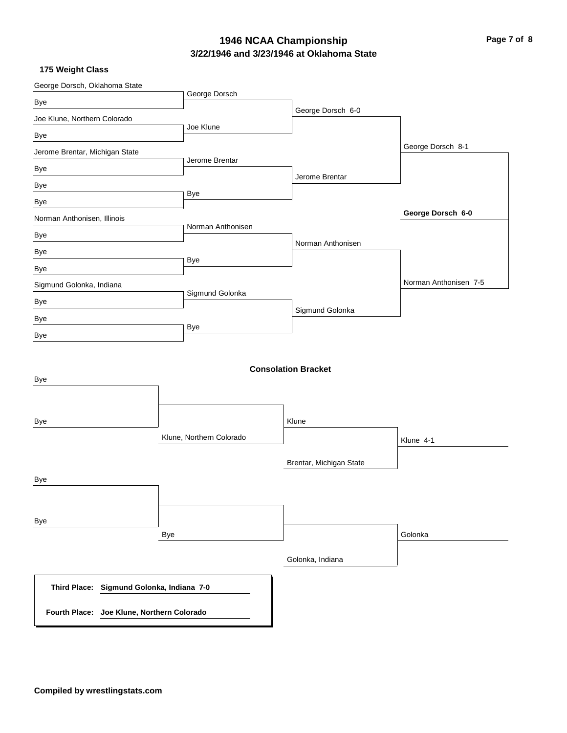# **3/22/1946 and 3/23/1946 at Oklahoma State 1946 NCAA Championship Page 7 of 8**

| George Dorsch, Oklahoma State                       |                          |                            |                       |
|-----------------------------------------------------|--------------------------|----------------------------|-----------------------|
| Bye                                                 | George Dorsch            |                            |                       |
| Joe Klune, Northern Colorado                        |                          | George Dorsch 6-0          |                       |
| Bye                                                 | Joe Klune                |                            |                       |
| Jerome Brentar, Michigan State                      |                          |                            | George Dorsch 8-1     |
| Bye                                                 | Jerome Brentar           |                            |                       |
| Bye                                                 |                          | Jerome Brentar             |                       |
| Bye                                                 | Bye                      |                            |                       |
| Norman Anthonisen, Illinois                         |                          |                            | George Dorsch 6-0     |
| Bye                                                 | Norman Anthonisen        |                            |                       |
| Bye                                                 |                          | Norman Anthonisen          |                       |
| Bye                                                 | <b>Bye</b>               |                            |                       |
| Sigmund Golonka, Indiana                            |                          |                            | Norman Anthonisen 7-5 |
| Bye                                                 | Sigmund Golonka          |                            |                       |
| Bye                                                 |                          | Sigmund Golonka            |                       |
| Bye                                                 | Bye                      |                            |                       |
| Bye                                                 |                          | <b>Consolation Bracket</b> |                       |
| Bye                                                 |                          | Klune                      |                       |
|                                                     | Klune, Northern Colorado |                            | Klune 4-1             |
|                                                     |                          | Brentar, Michigan State    |                       |
| Bye                                                 |                          |                            |                       |
|                                                     |                          |                            |                       |
| Bye                                                 |                          |                            |                       |
|                                                     | Bye                      |                            | Golonka               |
|                                                     |                          | Golonka, Indiana           |                       |
| Sigmund Golonka, Indiana 7-0<br><b>Third Place:</b> |                          |                            |                       |
| Fourth Place: Joe Klune, Northern Colorado          |                          |                            |                       |